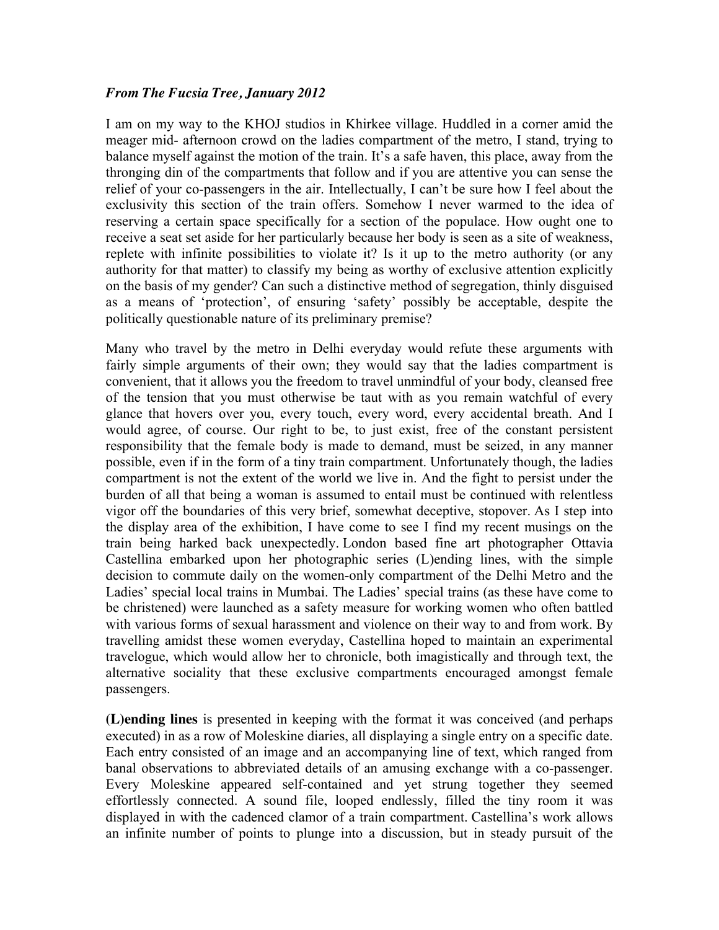## *From The Fucsia Tree, January 2012*

I am on my way to the KHOJ studios in Khirkee village. Huddled in a corner amid the meager mid- afternoon crowd on the ladies compartment of the metro, I stand, trying to balance myself against the motion of the train. It's a safe haven, this place, away from the thronging din of the compartments that follow and if you are attentive you can sense the relief of your co-passengers in the air. Intellectually, I can't be sure how I feel about the exclusivity this section of the train offers. Somehow I never warmed to the idea of reserving a certain space specifically for a section of the populace. How ought one to receive a seat set aside for her particularly because her body is seen as a site of weakness, replete with infinite possibilities to violate it? Is it up to the metro authority (or any authority for that matter) to classify my being as worthy of exclusive attention explicitly on the basis of my gender? Can such a distinctive method of segregation, thinly disguised as a means of 'protection', of ensuring 'safety' possibly be acceptable, despite the politically questionable nature of its preliminary premise?

Many who travel by the metro in Delhi everyday would refute these arguments with fairly simple arguments of their own; they would say that the ladies compartment is convenient, that it allows you the freedom to travel unmindful of your body, cleansed free of the tension that you must otherwise be taut with as you remain watchful of every glance that hovers over you, every touch, every word, every accidental breath. And I would agree, of course. Our right to be, to just exist, free of the constant persistent responsibility that the female body is made to demand, must be seized, in any manner possible, even if in the form of a tiny train compartment. Unfortunately though, the ladies compartment is not the extent of the world we live in. And the fight to persist under the burden of all that being a woman is assumed to entail must be continued with relentless vigor off the boundaries of this very brief, somewhat deceptive, stopover. As I step into the display area of the exhibition, I have come to see I find my recent musings on the train being harked back unexpectedly. London based fine art photographer Ottavia Castellina embarked upon her photographic series (L)ending lines, with the simple decision to commute daily on the women-only compartment of the Delhi Metro and the Ladies' special local trains in Mumbai. The Ladies' special trains (as these have come to be christened) were launched as a safety measure for working women who often battled with various forms of sexual harassment and violence on their way to and from work. By travelling amidst these women everyday, Castellina hoped to maintain an experimental travelogue, which would allow her to chronicle, both imagistically and through text, the alternative sociality that these exclusive compartments encouraged amongst female passengers.

**(L)ending lines** is presented in keeping with the format it was conceived (and perhaps executed) in as a row of Moleskine diaries, all displaying a single entry on a specific date. Each entry consisted of an image and an accompanying line of text, which ranged from banal observations to abbreviated details of an amusing exchange with a co-passenger. Every Moleskine appeared self-contained and yet strung together they seemed effortlessly connected. A sound file, looped endlessly, filled the tiny room it was displayed in with the cadenced clamor of a train compartment. Castellina's work allows an infinite number of points to plunge into a discussion, but in steady pursuit of the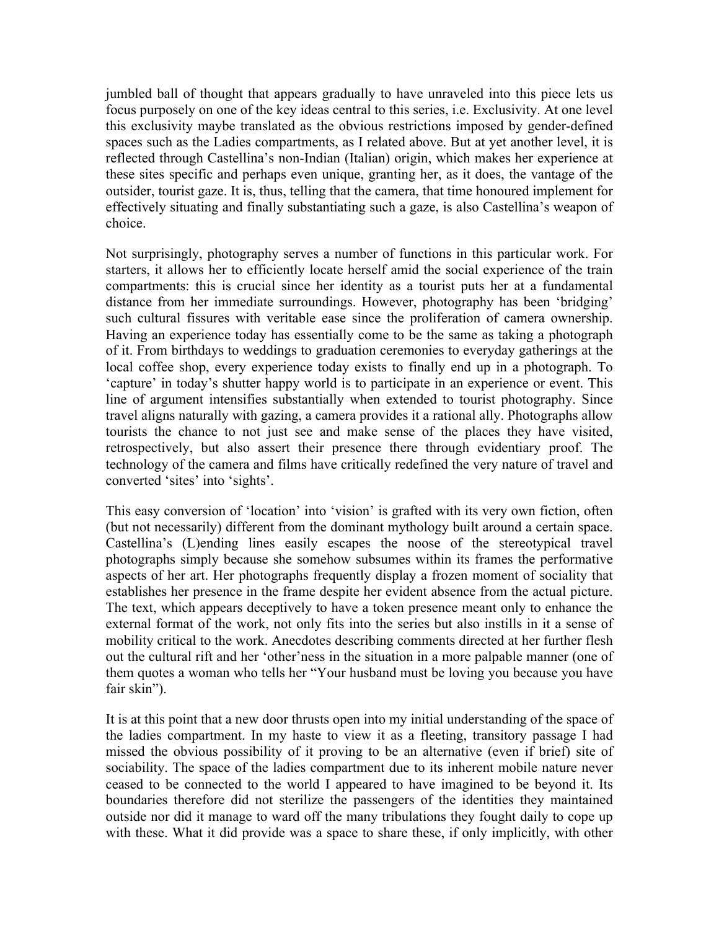jumbled ball of thought that appears gradually to have unraveled into this piece lets us focus purposely on one of the key ideas central to this series, i.e. Exclusivity. At one level this exclusivity maybe translated as the obvious restrictions imposed by gender-defined spaces such as the Ladies compartments, as I related above. But at yet another level, it is reflected through Castellina's non-Indian (Italian) origin, which makes her experience at these sites specific and perhaps even unique, granting her, as it does, the vantage of the outsider, tourist gaze. It is, thus, telling that the camera, that time honoured implement for effectively situating and finally substantiating such a gaze, is also Castellina's weapon of choice.

Not surprisingly, photography serves a number of functions in this particular work. For starters, it allows her to efficiently locate herself amid the social experience of the train compartments: this is crucial since her identity as a tourist puts her at a fundamental distance from her immediate surroundings. However, photography has been 'bridging' such cultural fissures with veritable ease since the proliferation of camera ownership. Having an experience today has essentially come to be the same as taking a photograph of it. From birthdays to weddings to graduation ceremonies to everyday gatherings at the local coffee shop, every experience today exists to finally end up in a photograph. To 'capture' in today's shutter happy world is to participate in an experience or event. This line of argument intensifies substantially when extended to tourist photography. Since travel aligns naturally with gazing, a camera provides it a rational ally. Photographs allow tourists the chance to not just see and make sense of the places they have visited, retrospectively, but also assert their presence there through evidentiary proof. The technology of the camera and films have critically redefined the very nature of travel and converted 'sites' into 'sights'.

This easy conversion of 'location' into 'vision' is grafted with its very own fiction, often (but not necessarily) different from the dominant mythology built around a certain space. Castellina's (L)ending lines easily escapes the noose of the stereotypical travel photographs simply because she somehow subsumes within its frames the performative aspects of her art. Her photographs frequently display a frozen moment of sociality that establishes her presence in the frame despite her evident absence from the actual picture. The text, which appears deceptively to have a token presence meant only to enhance the external format of the work, not only fits into the series but also instills in it a sense of mobility critical to the work. Anecdotes describing comments directed at her further flesh out the cultural rift and her 'other'ness in the situation in a more palpable manner (one of them quotes a woman who tells her "Your husband must be loving you because you have fair skin").

It is at this point that a new door thrusts open into my initial understanding of the space of the ladies compartment. In my haste to view it as a fleeting, transitory passage I had missed the obvious possibility of it proving to be an alternative (even if brief) site of sociability. The space of the ladies compartment due to its inherent mobile nature never ceased to be connected to the world I appeared to have imagined to be beyond it. Its boundaries therefore did not sterilize the passengers of the identities they maintained outside nor did it manage to ward off the many tribulations they fought daily to cope up with these. What it did provide was a space to share these, if only implicitly, with other